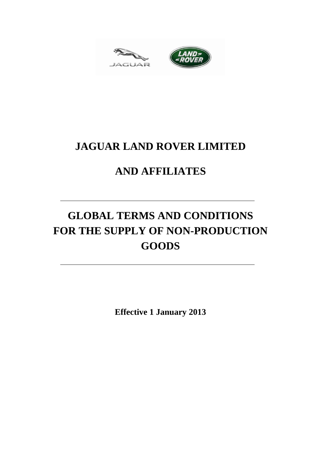



# **JAGUAR LAND ROVER LIMITED**

# **AND AFFILIATES**

# **GLOBAL TERMS AND CONDITIONS FOR THE SUPPLY OF NON-PRODUCTION GOODS**

**Effective 1 January 2013**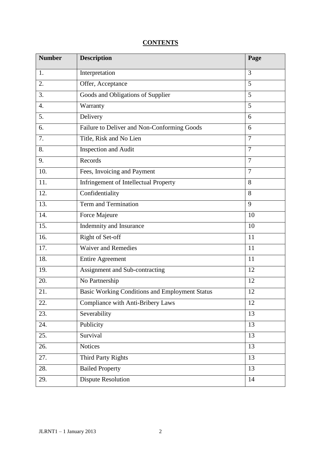## **CONTENTS**

| <b>Number</b>    | <b>Description</b>                                    | Page           |
|------------------|-------------------------------------------------------|----------------|
| 1.               | Interpretation                                        | 3              |
| 2.               | Offer, Acceptance                                     | 5              |
| 3.               | Goods and Obligations of Supplier                     | 5              |
| $\overline{4}$ . | Warranty                                              | $\overline{5}$ |
| 5.               | Delivery                                              | 6              |
| 6.               | Failure to Deliver and Non-Conforming Goods           | 6              |
| 7.               | Title, Risk and No Lien                               | $\overline{7}$ |
| 8.               | Inspection and Audit                                  | $\overline{7}$ |
| 9.               | Records                                               | $\overline{7}$ |
| 10.              | Fees, Invoicing and Payment                           | $\overline{7}$ |
| 11.              | <b>Infringement of Intellectual Property</b>          | 8              |
| 12.              | Confidentiality                                       | 8              |
| 13.              | Term and Termination                                  | 9              |
| 14.              | Force Majeure                                         | 10             |
| 15.              | Indemnity and Insurance                               | 10             |
| 16.              | Right of Set-off                                      | 11             |
| 17.              | <b>Waiver and Remedies</b>                            | 11             |
| 18.              | <b>Entire Agreement</b>                               | 11             |
| 19.              | Assignment and Sub-contracting                        | 12             |
| 20.              | No Partnership                                        | 12             |
| 21.              | <b>Basic Working Conditions and Employment Status</b> | 12             |
| 22.              | Compliance with Anti-Bribery Laws                     | 12             |
| 23.              | Severability                                          | 13             |
| 24.              | Publicity                                             | 13             |
| 25.              | Survival                                              | 13             |
| 26.              | <b>Notices</b>                                        | 13             |
| 27.              | Third Party Rights                                    | 13             |
| 28.              | <b>Bailed Property</b>                                | 13             |
| 29.              | <b>Dispute Resolution</b>                             | 14             |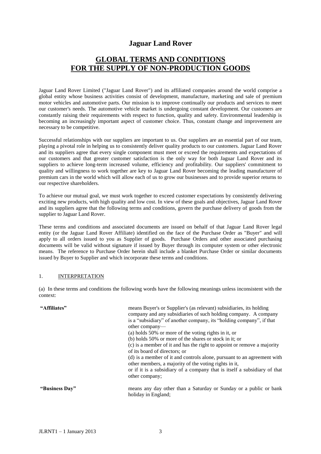## **Jaguar Land Rover**

## **GLOBAL TERMS AND CONDITIONS FOR THE SUPPLY OF NON-PRODUCTION GOODS**

Jaguar Land Rover Limited ("Jaguar Land Rover") and its affiliated companies around the world comprise a global entity whose business activities consist of development, manufacture, marketing and sale of premium motor vehicles and automotive parts. Our mission is to improve continually our products and services to meet our customer's needs. The automotive vehicle market is undergoing constant development. Our customers are constantly raising their requirements with respect to function, quality and safety. Environmental leadership is becoming an increasingly important aspect of customer choice. Thus, constant change and improvement are necessary to be competitive.

Successful relationships with our suppliers are important to us. Our suppliers are an essential part of our team, playing a pivotal role in helping us to consistently deliver quality products to our customers. Jaguar Land Rover and its suppliers agree that every single component must meet or exceed the requirements and expectations of our customers and that greater customer satisfaction is the only way for both Jaguar Land Rover and its suppliers to achieve long-term increased volume, efficiency and profitability. Our suppliers' commitment to quality and willingness to work together are key to Jaguar Land Rover becoming the leading manufacturer of premium cars in the world which will allow each of us to grow our businesses and to provide superior returns to our respective shareholders.

To achieve our mutual goal, we must work together to exceed customer expectations by consistently delivering exciting new products, with high quality and low cost. In view of these goals and objectives, Jaguar Land Rover and its suppliers agree that the following terms and conditions, govern the purchase delivery of goods from the supplier to Jaguar Land Rover.

These terms and conditions and associated documents are issued on behalf of that Jaguar Land Rover legal entity (or the Jaguar Land Rover Affiliate) identified on the face of the Purchase Order as "Buyer" and will apply to all orders issued to you as Supplier of goods. Purchase Orders and other associated purchasing documents will be valid without signature if issued by Buyer through its computer system or other electronic means. The reference to Purchase Order herein shall include a blanket Purchase Order or similar documents issued by Buyer to Supplier and which incorporate these terms and conditions.

#### 1. INTERPRETATION

(a) In these terms and conditions the following words have the following meanings unless inconsistent with the context:

| "Affiliates"   | means Buyer's or Supplier's (as relevant) subsidiaries, its holding<br>company and any subsidiaries of such holding company. A company<br>is a "subsidiary" of another company, its "holding company", if that<br>other company—<br>(a) holds 50% or more of the voting rights in it, or<br>$(b)$ holds 50% or more of the shares or stock in it; or<br>(c) is a member of it and has the right to appoint or remove a majority<br>of its board of directors; or<br>(d) is a member of it and controls alone, pursuant to an agreement with<br>other members, a majority of the voting rights in it,<br>or if it is a subsidiary of a company that is itself a subsidiary of that<br>other company; |
|----------------|-----------------------------------------------------------------------------------------------------------------------------------------------------------------------------------------------------------------------------------------------------------------------------------------------------------------------------------------------------------------------------------------------------------------------------------------------------------------------------------------------------------------------------------------------------------------------------------------------------------------------------------------------------------------------------------------------------|
| "Business Day" | means any day other than a Saturday or Sunday or a public or bank<br>holiday in England;                                                                                                                                                                                                                                                                                                                                                                                                                                                                                                                                                                                                            |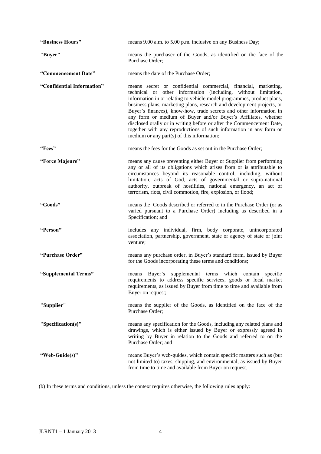| "Business Hours"           | means 9.00 a.m. to 5.00 p.m. inclusive on any Business Day;                                                                                                                                                                                                                                                                                                                                                                                                                                                                                                                                                                |
|----------------------------|----------------------------------------------------------------------------------------------------------------------------------------------------------------------------------------------------------------------------------------------------------------------------------------------------------------------------------------------------------------------------------------------------------------------------------------------------------------------------------------------------------------------------------------------------------------------------------------------------------------------------|
| "Buyer"                    | means the purchaser of the Goods, as identified on the face of the<br>Purchase Order;                                                                                                                                                                                                                                                                                                                                                                                                                                                                                                                                      |
| "Commencement Date"        | means the date of the Purchase Order;                                                                                                                                                                                                                                                                                                                                                                                                                                                                                                                                                                                      |
| "Confidential Information" | means secret or confidential commercial, financial, marketing,<br>technical or other information (including, without limitation,<br>information in or relating to vehicle model programmes, product plans,<br>business plans, marketing plans, research and development projects, or<br>Buyer's finances), know-how, trade secrets and other information in<br>any form or medium of Buyer and/or Buyer's Affiliates, whether<br>disclosed orally or in writing before or after the Commencement Date,<br>together with any reproductions of such information in any form or<br>medium or any part(s) of this information; |
| "Fees"                     | means the fees for the Goods as set out in the Purchase Order;                                                                                                                                                                                                                                                                                                                                                                                                                                                                                                                                                             |
| "Force Majeure"            | means any cause preventing either Buyer or Supplier from performing<br>any or all of its obligations which arises from or is attributable to<br>circumstances beyond its reasonable control, including, without<br>limitation, acts of God, acts of governmental or supra-national<br>authority, outbreak of hostilities, national emergency, an act of<br>terrorism, riots, civil commotion, fire, explosion, or flood;                                                                                                                                                                                                   |
| "Goods"                    | means the Goods described or referred to in the Purchase Order (or as<br>varied pursuant to a Purchase Order) including as described in a<br>Specification; and                                                                                                                                                                                                                                                                                                                                                                                                                                                            |
| "Person"                   | includes any individual, firm, body corporate, unincorporated<br>association, partnership, government, state or agency of state or joint<br>venture;                                                                                                                                                                                                                                                                                                                                                                                                                                                                       |
| "Purchase Order"           | means any purchase order, in Buyer's standard form, issued by Buyer<br>for the Goods incorporating these terms and conditions;                                                                                                                                                                                                                                                                                                                                                                                                                                                                                             |
| "Supplemental Terms"       | supplemental terms which contain<br>means Buyer's<br>specific<br>requirements to address specific services, goods or local market<br>requirements, as issued by Buyer from time to time and available from<br>Buyer on request;                                                                                                                                                                                                                                                                                                                                                                                            |
| "Supplier"                 | means the supplier of the Goods, as identified on the face of the<br>Purchase Order;                                                                                                                                                                                                                                                                                                                                                                                                                                                                                                                                       |
| "Specification(s)"         | means any specification for the Goods, including any related plans and<br>drawings, which is either issued by Buyer or expressly agreed in<br>writing by Buyer in relation to the Goods and referred to on the<br>Purchase Order; and                                                                                                                                                                                                                                                                                                                                                                                      |
| "Web-Guide(s)"             | means Buyer's web-guides, which contain specific matters such as (but<br>not limited to) taxes, shipping, and environmental, as issued by Buyer<br>from time to time and available from Buyer on request.                                                                                                                                                                                                                                                                                                                                                                                                                  |

(b) In these terms and conditions, unless the context requires otherwise, the following rules apply: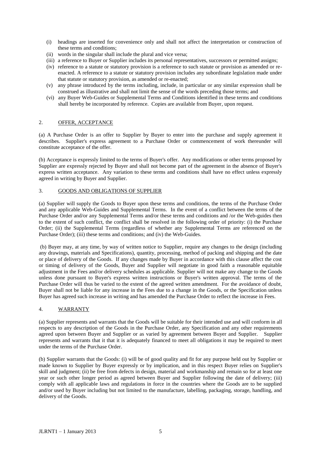- (i) headings are inserted for convenience only and shall not affect the interpretation or construction of these terms and conditions;
- (ii) words in the singular shall include the plural and vice versa;
- (iii) a reference to Buyer or Supplier includes its personal representatives, successors or permitted assigns;
- (iv) reference to a statute or statutory provision is a reference to such statute or provision as amended or reenacted. A reference to a statute or statutory provision includes any subordinate legislation made under that statute or statutory provision, as amended or re-enacted;
- (v) any phrase introduced by the terms including, include, in particular or any similar expression shall be construed as illustrative and shall not limit the sense of the words preceding those terms; and
- (vi) any Buyer Web-Guides or Supplemental Terms and Conditions identified in these terms and conditions shall hereby be incorporated by reference. Copies are available from Buyer, upon request.

#### 2. OFFER, ACCEPTANCE

(a) A Purchase Order is an offer to Supplier by Buyer to enter into the purchase and supply agreement it describes. Supplier's express agreement to a Purchase Order or commencement of work thereunder will constitute acceptance of the offer.

(b) Acceptance is expressly limited to the terms of Buyer's offer. Any modifications or other terms proposed by Supplier are expressly rejected by Buyer and shall not become part of the agreement in the absence of Buyer's express written acceptance. Any variation to these terms and conditions shall have no effect unless expressly agreed in writing by Buyer and Supplier.

#### 3. GOODS AND OBLIGATIONS OF SUPPLIER

(a) Supplier will supply the Goods to Buyer upon these terms and conditions, the terms of the Purchase Order and any applicable Web-Guides and Supplemental Terms. In the event of a conflict between the terms of the Purchase Order and/or any Supplemental Terms and/or these terms and conditions and /or the Web-guides then to the extent of such conflict, the conflict shall be resolved in the following order of priority: (i) the Purchase Order; (ii) the Supplemental Terms (regardless of whether any Supplemental Terms are referenced on the Purchase Order); (iii) these terms and conditions; and (iv) the Web-Guides.

(b) Buyer may, at any time, by way of written notice to Supplier, require any changes to the design (including any drawings, materials and Specifications), quantity, processing, method of packing and shipping and the date or place of delivery of the Goods. If any changes made by Buyer in accordance with this clause affect the cost or timing of delivery of the Goods, Buyer and Supplier will negotiate in good faith a reasonable equitable adjustment in the Fees and/or delivery schedules as applicable. Supplier will not make any change to the Goods unless done pursuant to Buyer's express written instructions or Buyer's written approval. The terms of the Purchase Order will thus be varied to the extent of the agreed written amendment. For the avoidance of doubt, Buyer shall not be liable for any increase in the Fees due to a change in the Goods, or the Specification unless Buyer has agreed such increase in writing and has amended the Purchase Order to reflect the increase in Fees.

#### 4. WARRANTY

(a) Supplier represents and warrants that the Goods will be suitable for their intended use and will conform in all respects to any description of the Goods in the Purchase Order, any Specification and any other requirements agreed upon between Buyer and Supplier or as varied by agreement between Buyer and Supplier. Supplier represents and warrants that it that it is adequately financed to meet all obligations it may be required to meet under the terms of the Purchase Order.

(b) Supplier warrants that the Goods: (i) will be of good quality and fit for any purpose held out by Supplier or made known to Supplier by Buyer expressly or by implication, and in this respect Buyer relies on Supplier's skill and judgment; (ii) be free from defects in design, material and workmanship and remain so for at least one year or such other longer period as agreed between Buyer and Supplier following the date of delivery; (iii) comply with all applicable laws and regulations in force in the countries where the Goods are to be supplied and/or used by Buyer including but not limited to the manufacture, labelling, packaging, storage, handling, and delivery of the Goods.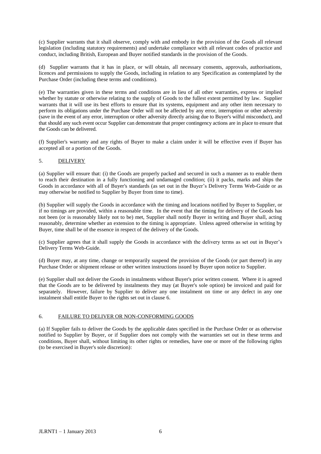(c) Supplier warrants that it shall observe, comply with and embody in the provision of the Goods all relevant legislation (including statutory requirements) and undertake compliance with all relevant codes of practice and conduct, including British, European and Buyer notified standards in the provision of the Goods.

(d) Supplier warrants that it has in place, or will obtain, all necessary consents, approvals, authorisations, licences and permissions to supply the Goods, including in relation to any Specification as contemplated by the Purchase Order (including these terms and conditions).

(e) The warranties given in these terms and conditions are in lieu of all other warranties, express or implied whether by statute or otherwise relating to the supply of Goods to the fullest extent permitted by law. Supplier warrants that it will use its best efforts to ensure that its systems, equipment and any other item necessary to perform its obligations under the Purchase Order will not be affected by any error, interruption or other adversity (save in the event of any error, interruption or other adversity directly arising due to Buyer's wilful misconduct), and that should any such event occur Supplier can demonstrate that proper contingency actions are in place to ensure that the Goods can be delivered.

(f) Supplier's warranty and any rights of Buyer to make a claim under it will be effective even if Buyer has accepted all or a portion of the Goods.

#### 5. DELIVERY

(a) Supplier will ensure that: (i) the Goods are properly packed and secured in such a manner as to enable them to reach their destination in a fully functioning and undamaged condition; (ii) it packs, marks and ships the Goods in accordance with all of Buyer's standards (as set out in the Buyer's Delivery Terms Web-Guide or as may otherwise be notified to Supplier by Buyer from time to time).

(b) Supplier will supply the Goods in accordance with the timing and locations notified by Buyer to Supplier, or if no timings are provided, within a reasonable time. In the event that the timing for delivery of the Goods has not been (or is reasonably likely not to be) met, Supplier shall notify Buyer in writing and Buyer shall, acting reasonably, determine whether an extension to the timing is appropriate. Unless agreed otherwise in writing by Buyer, time shall be of the essence in respect of the delivery of the Goods.

(c) Supplier agrees that it shall supply the Goods in accordance with the delivery terms as set out in Buyer's Delivery Terms Web-Guide.

(d) Buyer may, at any time, change or temporarily suspend the provision of the Goods (or part thereof) in any Purchase Order or shipment release or other written instructions issued by Buyer upon notice to Supplier.

(e) Supplier shall not deliver the Goods in instalments without Buyer's prior written consent. Where it is agreed that the Goods are to be delivered by instalments they may (at Buyer's sole option) be invoiced and paid for separately. However, failure by Supplier to deliver any one instalment on time or any defect in any one instalment shall entitle Buyer to the rights set out in clause 6.

#### 6. FAILURE TO DELIVER OR NON-CONFORMING GOODS

(a) If Supplier fails to deliver the Goods by the applicable dates specified in the Purchase Order or as otherwise notified to Supplier by Buyer, or if Supplier does not comply with the warranties set out in these terms and conditions, Buyer shall, without limiting its other rights or remedies, have one or more of the following rights (to be exercised in Buyer's sole discretion):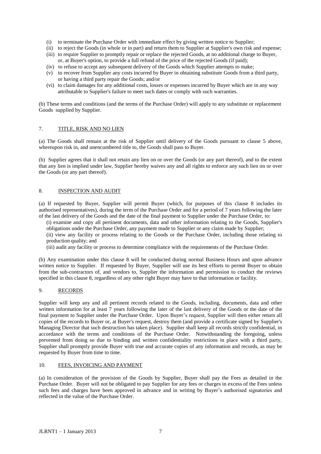- (i) to terminate the Purchase Order with immediate effect by giving written notice to Supplier;
- (ii) to reject the Goods (in whole or in part) and return them to Supplier at Supplier's own risk and expense;
- (iii) to require Supplier to promptly repair or replace the rejected Goods, at no additional charge to Buyer, or, at Buyer's option, to provide a full refund of the price of the rejected Goods (if paid);
- (iv) to refuse to accept any subsequent delivery of the Goods which Supplier attempts to make;
- (v) to recover from Supplier any costs incurred by Buyer in obtaining substitute Goods from a third party, or having a third party repair the Goods; and/or
- (vi) to claim damages for any additional costs, losses or expenses incurred by Buyer which are in any way attributable to Supplier's failure to meet such dates or comply with such warranties.

(b) These terms and conditions (and the terms of the Purchase Order) will apply to any substitute or replacement Goods supplied by Supplier.

#### 7. TITLE, RISK AND NO LIEN

(a) The Goods shall remain at the risk of Supplier until delivery of the Goods pursuant to clause 5 above, whereupon risk in, and unencumbered title to, the Goods shall pass to Buyer.

(b) Supplier agrees that it shall not retain any lien on or over the Goods (or any part thereof), and to the extent that any lien is implied under law, Supplier hereby waives any and all rights to enforce any such lien on or over the Goods (or any part thereof).

#### 8. INSPECTION AND AUDIT

(a) If requested by Buyer, Supplier will permit Buyer (which, for purposes of this clause 8 includes its authorised representatives), during the term of the Purchase Order and for a period of 7 years following the later of the last delivery of the Goods and the date of the final payment to Supplier under the Purchase Order, to:

(i) examine and copy all pertinent documents, data and other information relating to the Goods, Supplier's obligations under the Purchase Order, any payment made to Supplier or any claim made by Supplier;

(ii) view any facility or process relating to the Goods or the Purchase Order, including those relating to production quality; and

(iii) audit any facility or process to determine compliance with the requirements of the Purchase Order.

(b) Any examination under this clause 8 will be conducted during normal Business Hours and upon advance written notice to Supplier. If requested by Buyer, Supplier will use its best efforts to permit Buyer to obtain from the sub-contractors of, and vendors to, Supplier the information and permission to conduct the reviews specified in this clause 8, regardless of any other right Buyer may have to that information or facility.

#### 9. RECORDS

Supplier will keep any and all pertinent records related to the Goods, including, documents, data and other written information for at least 7 years following the later of the last delivery of the Goods or the date of the final payment to Supplier under the Purchase Order. Upon Buyer's request, Supplier will then either return all copies of the records to Buyer or, at Buyer's request, destroy them (and provide a certificate signed by Supplier's Managing Director that such destruction has taken place). Supplier shall keep all records strictly confidential, in accordance with the terms and conditions of the Purchase Order. Notwithstanding the foregoing, unless prevented from doing so due to binding and written confidentiality restrictions in place with a third party, Supplier shall promptly provide Buyer with true and accurate copies of any information and records, as may be requested by Buyer from time to time.

#### 10. FEES, INVOICING AND PAYMENT

(a) In consideration of the provision of the Goods by Supplier, Buyer shall pay the Fees as detailed in the Purchase Order. Buyer will not be obligated to pay Supplier for any fees or charges in excess of the Fees unless such fees and charges have been approved in advance and in writing by Buyer's authorised signatories and reflected in the value of the Purchase Order.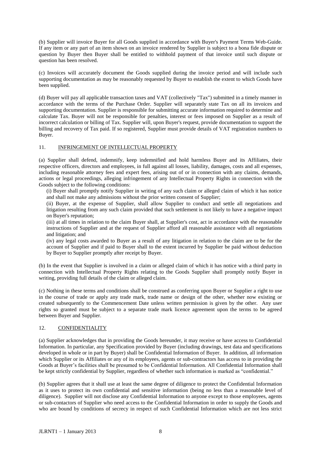(b) Supplier will invoice Buyer for all Goods supplied in accordance with Buyer's Payment Terms Web-Guide. If any item or any part of an item shown on an invoice rendered by Supplier is subject to a bona fide dispute or question by Buyer then Buyer shall be entitled to withhold payment of that invoice until such dispute or question has been resolved.

(c) Invoices will accurately document the Goods supplied during the invoice period and will include such supporting documentation as may be reasonably requested by Buyer to establish the extent to which Goods have been supplied.

(d) Buyer will pay all applicable transaction taxes and VAT (collectively "Tax") submitted in a timely manner in accordance with the terms of the Purchase Order. Supplier will separately state Tax on all its invoices and supporting documentation. Supplier is responsible for submitting accurate information required to determine and calculate Tax. Buyer will not be responsible for penalties, interest or fees imposed on Supplier as a result of incorrect calculation or billing of Tax. Supplier will, upon Buyer's request, provide documentation to support the billing and recovery of Tax paid. If so registered, Supplier must provide details of VAT registration numbers to Buyer.

#### 11. INFRINGEMENT OF INTELLECTUAL PROPERTY

(a) Supplier shall defend, indemnify, keep indemnified and hold harmless Buyer and its Affiliates, their respective officers, directors and employees, in full against all losses, liability, damages, costs and all expenses, including reasonable attorney fees and expert fees, arising out of or in connection with any claims, demands, actions or legal proceedings, alleging infringement of any Intellectual Property Rights in connection with the Goods subject to the following conditions:

(i) Buyer shall promptly notify Supplier in writing of any such claim or alleged claim of which it has notice and shall not make any admissions without the prior written consent of Supplier;

(ii) Buyer, at the expense of Supplier, shall allow Supplier to conduct and settle all negotiations and litigation resulting from any such claim provided that such settlement is not likely to have a negative impact on Buyer's reputation;

(iii) at all times in relation to the claim Buyer shall, at Supplier's cost, act in accordance with the reasonable instructions of Supplier and at the request of Supplier afford all reasonable assistance with all negotiations and litigation; and

(iv) any legal costs awarded to Buyer as a result of any litigation in relation to the claim are to be for the account of Supplier and if paid to Buyer shall to the extent incurred by Supplier be paid without deduction by Buyer to Supplier promptly after receipt by Buyer.

(b) In the event that Supplier is involved in a claim or alleged claim of which it has notice with a third party in connection with Intellectual Property Rights relating to the Goods Supplier shall promptly notify Buyer in writing, providing full details of the claim or alleged claim.

(c) Nothing in these terms and conditions shall be construed as conferring upon Buyer or Supplier a right to use in the course of trade or apply any trade mark, trade name or design of the other, whether now existing or created subsequently to the Commencement Date unless written permission is given by the other. Any user rights so granted must be subject to a separate trade mark licence agreement upon the terms to be agreed between Buyer and Supplier.

#### 12. CONFIDENTIALITY

(a) Supplier acknowledges that in providing the Goods hereunder, it may receive or have access to Confidential Information. In particular, any Specification provided by Buyer (including drawings, test data and specifications developed in whole or in part by Buyer) shall be Confidential Information of Buyer. In addition, all information which Supplier or its Affiliates or any of its employees, agents or sub-contractors has access to in providing the Goods at Buyer's facilities shall be presumed to be Confidential Information. All Confidential Information shall be kept strictly confidential by Supplier, regardless of whether such information is marked as "confidential."

(b) Supplier agrees that it shall use at least the same degree of diligence to protect the Confidential Information as it uses to protect its own confidential and sensitive information (being no less than a reasonable level of diligence). Supplier will not disclose any Confidential Information to anyone except to those employees, agents or sub-contactors of Supplier who need access to the Confidential Information in order to supply the Goods and who are bound by conditions of secrecy in respect of such Confidential Information which are not less strict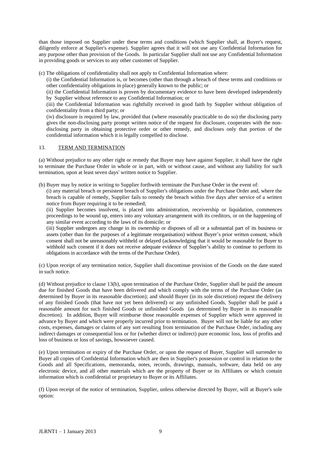than those imposed on Supplier under these terms and conditions (which Supplier shall, at Buyer's request, diligently enforce at Supplier's expense). Supplier agrees that it will not use any Confidential Information for any purpose other than provision of the Goods. In particular Supplier shall not use any Confidential Information in providing goods or services to any other customer of Supplier.

(c) The obligations of confidentiality shall not apply to Confidential Information where:

(i) the Confidential Information is, or becomes (other than through a breach of these terms and conditions or other confidentiality obligations in place) generally known to the public; or

(ii) the Confidential Information is proven by documentary evidence to have been developed independently by Supplier without reference to any Confidential Information; or

(iii) the Confidential Information was rightfully received in good faith by Supplier without obligation of confidentiality from a third party; or

(iv) disclosure is required by law, provided that (where reasonably practicable to do so) the disclosing party gives the non-disclosing party prompt written notice of the request for disclosure, cooperates with the nondisclosing party in obtaining protective order or other remedy, and discloses only that portion of the confidential information which it is legally compelled to disclose.

#### 13. TERM AND TERMINATION

(a) Without prejudice to any other right or remedy that Buyer may have against Supplier, it shall have the right to terminate the Purchase Order in whole or in part, with or without cause, and without any liability for such termination, upon at least seven days' written notice to Supplier.

(b) Buyer may by notice in writing to Supplier forthwith terminate the Purchase Order in the event of:

(i) any material breach or persistent breach of Supplier's obligations under the Purchase Order and, where the breach is capable of remedy, Supplier fails to remedy the breach within five days after service of a written notice from Buyer requiring it to be remedied;

(ii) Supplier becomes insolvent, is placed into administration, receivership or liquidation, commences proceedings to be wound up, enters into any voluntary arrangement with its creditors, or on the happening of any similar event according to the laws of its domicile; or

(iii) Supplier undergoes any change in its ownership or disposes of all or a substantial part of its business or assets (other than for the purposes of a legitimate reorganisation) without Buyer's prior written consent, which consent shall not be unreasonably withheld or delayed (acknowledging that it would be reasonable for Buyer to withhold such consent if it does not receive adequate evidence of Supplier's ability to continue to perform its obligations in accordance with the terms of the Purchase Order).

(c) Upon receipt of any termination notice, Supplier shall discontinue provision of the Goods on the date stated in such notice.

(d) Without prejudice to clause 13(b), upon termination of the Purchase Order, Supplier shall be paid the amount due for finished Goods that have been delivered and which comply with the terms of the Purchase Order (as determined by Buyer in its reasonable discretion); and should Buyer (in its sole discretion) request the delivery of any finished Goods (that have not yet been delivered) or any unfinished Goods, Supplier shall be paid a reasonable amount for such finished Goods or unfinished Goods (as determined by Buyer in its reasonable discretion). In addition, Buyer will reimburse those reasonable expenses of Supplier which were approved in advance by Buyer and which were properly incurred prior to termination. Buyer will not be liable for any other costs, expenses, damages or claims of any sort resulting from termination of the Purchase Order, including any indirect damages or consequential loss or for (whether direct or indirect) pure economic loss, loss of profits and loss of business or loss of savings, howsoever caused.

(e) Upon termination or expiry of the Purchase Order, or upon the request of Buyer, Supplier will surrender to Buyer all copies of Confidential Information which are then in Supplier's possession or control in relation to the Goods and all Specifications, memoranda, notes, records, drawings, manuals, software, data held on any electronic device, and all other materials which are the property of Buyer or its Affiliates or which contain information which is confidential or proprietary to Buyer or its Affiliates.

(f) Upon receipt of the notice of termination, Supplier, unless otherwise directed by Buyer, will at Buyer's sole option: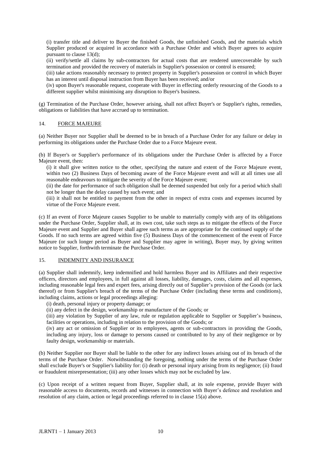(i) transfer title and deliver to Buyer the finished Goods, the unfinished Goods, and the materials which Supplier produced or acquired in accordance with a Purchase Order and which Buyer agrees to acquire pursuant to clause 13(d);

(ii) verify/settle all claims by sub-contractors for actual costs that are rendered unrecoverable by such termination and provided the recovery of materials in Supplier's possession or control is ensured;

(iii) take actions reasonably necessary to protect property in Supplier's possession or control in which Buyer has an interest until disposal instruction from Buyer has been received; and/or

(iv) upon Buyer's reasonable request, cooperate with Buyer in effecting orderly resourcing of the Goods to a different supplier whilst minimising any disruption to Buyer's business.

(g) Termination of the Purchase Order, however arising, shall not affect Buyer's or Supplier's rights, remedies, obligations or liabilities that have accrued up to termination.

#### 14. FORCE MAJEURE

(a) Neither Buyer nor Supplier shall be deemed to be in breach of a Purchase Order for any failure or delay in performing its obligations under the Purchase Order due to a Force Majeure event.

(b) If Buyer's or Supplier's performance of its obligations under the Purchase Order is affected by a Force Majeure event, then:

(i) it shall give written notice to the other, specifying the nature and extent of the Force Majeure event, within two (2) Business Days of becoming aware of the Force Majeure event and will at all times use all reasonable endeavours to mitigate the severity of the Force Majeure event;

(ii) the date for performance of such obligation shall be deemed suspended but only for a period which shall not be longer than the delay caused by such event; and

(iii) it shall not be entitled to payment from the other in respect of extra costs and expenses incurred by virtue of the Force Majeure event.

(c) If an event of Force Majeure causes Supplier to be unable to materially comply with any of its obligations under the Purchase Order, Supplier shall, at its own cost, take such steps as to mitigate the effects of the Force Majeure event and Supplier and Buyer shall agree such terms as are appropriate for the continued supply of the Goods. If no such terms are agreed within five (5) Business Days of the commencement of the event of Force Majeure (or such longer period as Buyer and Supplier may agree in writing), Buyer may, by giving written notice to Supplier, forthwith terminate the Purchase Order.

#### 15. INDEMNITY AND INSURANCE

(a) Supplier shall indemnify, keep indemnified and hold harmless Buyer and its Affiliates and their respective officers, directors and employees, in full against all losses, liability, damages, costs, claims and all expenses, including reasonable legal fees and expert fees, arising directly out of Supplier's provision of the Goods (or lack thereof) or from Supplier's breach of the terms of the Purchase Order (including these terms and conditions), including claims, actions or legal proceedings alleging:

(i) death, personal injury or property damage; or

(ii) any defect in the design, workmanship or manufacture of the Goods; or

(iii) any violation by Supplier of any law, rule or regulation applicable to Supplier or Supplier's business, facilities or operations, including in relation to the provision of the Goods; or

(iv) any act or omission of Supplier or its employees, agents or sub-contractors in providing the Goods, including any injury, loss or damage to persons caused or contributed to by any of their negligence or by faulty design, workmanship or materials.

(b) Neither Supplier nor Buyer shall be liable to the other for any indirect losses arising out of its breach of the terms of the Purchase Order. Notwithstanding the foregoing, nothing under the terms of the Purchase Order shall exclude Buyer's or Supplier's liability for: (i) death or personal injury arising from its negligence; (ii) fraud or fraudulent misrepresentation; (iii) any other losses which may not be excluded by law.

(c) Upon receipt of a written request from Buyer, Supplier shall, at its sole expense, provide Buyer with reasonable access to documents, records and witnesses in connection with Buyer's defence and resolution and resolution of any claim, action or legal proceedings referred to in clause 15(a) above.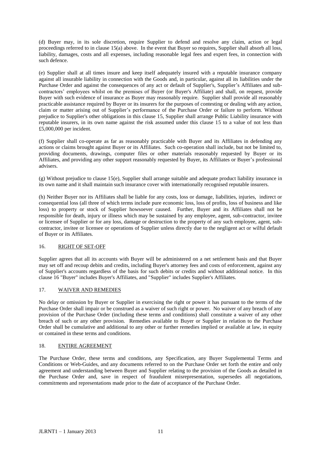(d) Buyer may, in its sole discretion, require Supplier to defend and resolve any claim, action or legal proceedings referred to in clause 15(a) above. In the event that Buyer so requires, Supplier shall absorb all loss, liability, damages, costs and all expenses, including reasonable legal fees and expert fees, in connection with such defence.

(e) Supplier shall at all times insure and keep itself adequately insured with a reputable insurance company against all insurable liability in connection with the Goods and, in particular, against all its liabilities under the Purchase Order and against the consequences of any act or default of Supplier's, Supplier's Affiliates and subcontractors' employees whilst on the premises of Buyer (or Buyer's Affiliate) and shall, on request, provide Buyer with such evidence of insurance as Buyer may reasonably require. Supplier shall provide all reasonably practicable assistance required by Buyer or its insurers for the purposes of contesting or dealing with any action, claim or matter arising out of Supplier's performance of the Purchase Order or failure to perform. Without prejudice to Supplier's other obligations in this clause 15, Supplier shall arrange Public Liability insurance with reputable insurers, in its own name against the risk assumed under this clause 15 to a value of not less than £5,000,000 per incident.

(f) Supplier shall co-operate as far as reasonably practicable with Buyer and its Affiliates in defending any actions or claims brought against Buyer or its Affiliates. Such co-operation shall include, but not be limited to, providing documents, drawings, computer files or other materials reasonably requested by Buyer or its Affiliates, and providing any other support reasonably requested by Buyer, its Affiliates or Buyer's professional advisers.

(g) Without prejudice to clause 15(e), Supplier shall arrange suitable and adequate product liability insurance in its own name and it shall maintain such insurance cover with internationally recognised reputable insurers.

(h) Neither Buyer nor its Affiliates shall be liable for any costs, loss or damage, liabilities, injuries, indirect or consequential loss (all three of which terms include pure economic loss, loss of profits, loss of business and like loss) to property or stock of Supplier howsoever caused. Further, Buyer and its Affiliates shall not be responsible for death, injury or illness which may be sustained by any employee, agent, sub-contractor, invitee or licensee of Supplier or for any loss, damage or destruction to the property of any such employee, agent, subcontractor, invitee or licensee or operations of Supplier unless directly due to the negligent act or wilful default of Buyer or its Affiliates.

#### 16. RIGHT OF SET-OFF

Supplier agrees that all its accounts with Buyer will be administered on a net settlement basis and that Buyer may set off and recoup debits and credits, including Buyer's attorney fees and costs of enforcement, against any of Supplier's accounts regardless of the basis for such debits or credits and without additional notice. In this clause 16 "Buyer" includes Buyer's Affiliates, and "Supplier" includes Supplier's Affiliates.

#### 17. WAIVER AND REMEDIES

No delay or omission by Buyer or Supplier in exercising the right or power it has pursuant to the terms of the Purchase Order shall impair or be construed as a waiver of such right or power. No waiver of any breach of any provision of the Purchase Order (including these terms and conditions) shall constitute a waiver of any other breach of such or any other provision. Remedies available to Buyer or Supplier in relation to the Purchase Order shall be cumulative and additional to any other or further remedies implied or available at law, in equity or contained in these terms and conditions.

#### 18. ENTIRE AGREEMENT

The Purchase Order, these terms and conditions, any Specification, any Buyer Supplemental Terms and Conditions or Web-Guides, and any documents referred to on the Purchase Order set forth the entire and only agreement and understanding between Buyer and Supplier relating to the provision of the Goods as detailed in the Purchase Order and, save in respect of fraudulent misrepresentation, supersedes all negotiations, commitments and representations made prior to the date of acceptance of the Purchase Order.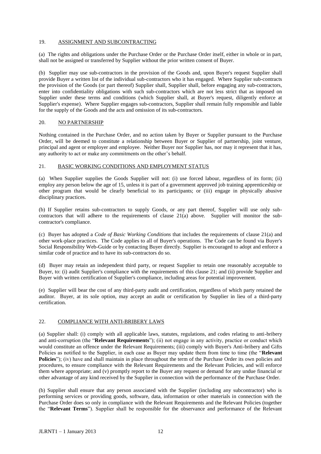#### 19. ASSIGNMENT AND SUBCONTRACTING

(a) The rights and obligations under the Purchase Order or the Purchase Order itself, either in whole or in part, shall not be assigned or transferred by Supplier without the prior written consent of Buyer.

(b) Supplier may use sub-contractors in the provision of the Goods and, upon Buyer's request Supplier shall provide Buyer a written list of the individual sub-contractors who it has engaged. Where Supplier sub-contracts the provision of the Goods (or part thereof) Supplier shall, Supplier shall, before engaging any sub-contractors, enter into confidentiality obligations with such sub-contractors which are not less strict that as imposed on Supplier under these terms and conditions (which Supplier shall, at Buyer's request, diligently enforce at Supplier's expense). Where Supplier engages sub-contractors, Supplier shall remain fully responsible and liable for the supply of the Goods and the acts and omission of its sub-contractors.

#### 20. NO PARTNERSHIP

Nothing contained in the Purchase Order, and no action taken by Buyer or Supplier pursuant to the Purchase Order, will be deemed to constitute a relationship between Buyer or Supplier of partnership, joint venture, principal and agent or employer and employee. Neither Buyer nor Supplier has, nor may it represent that it has, any authority to act or make any commitments on the other's behalf.

#### 21. BASIC WORKING CONDITIONS AND EMPLOYMENT STATUS

(a) When Supplier supplies the Goods Supplier will not: (i) use forced labour, regardless of its form; (ii) employ any person below the age of 15, unless it is part of a government approved job training apprenticeship or other program that would be clearly beneficial to its participants; or (iii) engage in physically abusive disciplinary practices.

(b) If Supplier retains sub-contractors to supply Goods, or any part thereof, Supplier will use only subcontractors that will adhere to the requirements of clause 21(a) above. Supplier will monitor the subcontractor's compliance.

(c) Buyer has adopted a *Code of Basic Working Conditions* that includes the requirements of clause 21(a) and other work-place practices. The Code applies to all of Buyer's operations. The Code can be found via Buyer's Social Responsibility Web-Guide or by contacting Buyer directly. Supplier is encouraged to adopt and enforce a similar code of practice and to have its sub-contractors do so.

(d) Buyer may retain an independent third party, or request Supplier to retain one reasonably acceptable to Buyer, to: (i) audit Supplier's compliance with the requirements of this clause 21; and (ii) provide Supplier and Buyer with written certification of Supplier's compliance, including areas for potential improvement.

(e) Supplier will bear the cost of any third-party audit and certification, regardless of which party retained the auditor. Buyer, at its sole option, may accept an audit or certification by Supplier in lieu of a third-party certification.

#### 22. COMPLIANCE WITH ANTI-BRIBERY LAWS

(a) Supplier shall: (i) comply with all applicable laws, statutes, regulations, and codes relating to anti-bribery and anti-corruption (the "**Relevant Requirements**"); (ii) not engage in any activity, practice or conduct which would constitute an offence under the Relevant Requirements; (iii) comply with Buyer's Anti-bribery and Gifts Policies as notified to the Supplier, in each case as Buyer may update them from time to time (the "**Relevant Policies**"); (iv) have and shall maintain in place throughout the term of the Purchase Order its own policies and procedures, to ensure compliance with the Relevant Requirements and the Relevant Policies, and will enforce them where appropriate; and (v) promptly report to the Buyer any request or demand for any undue financial or other advantage of any kind received by the Supplier in connection with the performance of the Purchase Order.

(b) Supplier shall ensure that any person associated with the Supplier (including any subcontractor) who is performing services or providing goods, software, data, information or other materials in connection with the Purchase Order does so only in compliance with the Relevant Requirements and the Relevant Policies (together the "**Relevant Terms**"). Supplier shall be responsible for the observance and performance of the Relevant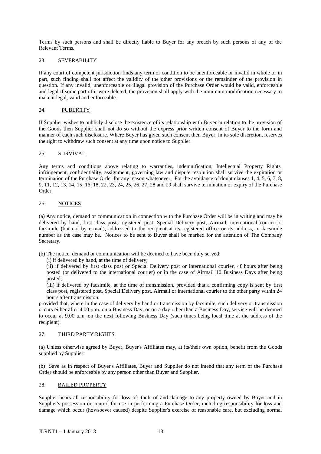Terms by such persons and shall be directly liable to Buyer for any breach by such persons of any of the Relevant Terms.

#### 23. SEVERABILITY

If any court of competent jurisdiction finds any term or condition to be unenforceable or invalid in whole or in part, such finding shall not affect the validity of the other provisions or the remainder of the provision in question. If any invalid, unenforceable or illegal provision of the Purchase Order would be valid, enforceable and legal if some part of it were deleted, the provision shall apply with the minimum modification necessary to make it legal, valid and enforceable.

#### 24. PUBLICITY

If Supplier wishes to publicly disclose the existence of its relationship with Buyer in relation to the provision of the Goods then Supplier shall not do so without the express prior written consent of Buyer to the form and manner of each such disclosure. Where Buyer has given such consent then Buyer, in its sole discretion, reserves the right to withdraw such consent at any time upon notice to Supplier.

#### 25. SURVIVAL

Any terms and conditions above relating to warranties, indemnification, Intellectual Property Rights, infringement, confidentiality, assignment, governing law and dispute resolution shall survive the expiration or termination of the Purchase Order for any reason whatsoever. For the avoidance of doubt clauses 1, 4, 5, 6, 7, 8, 9, 11, 12, 13, 14, 15, 16, 18, 22, 23, 24, 25, 26, 27, 28 and 29 shall survive termination or expiry of the Purchase Order.

#### 26. NOTICES

(a) Any notice, demand or communication in connection with the Purchase Order will be in writing and may be delivered by hand, first class post, registered post, Special Delivery post, Airmail, international courier or facsimile (but not by e-mail), addressed to the recipient at its registered office or its address, or facsimile number as the case may be. Notices to be sent to Buyer shall be marked for the attention of The Company Secretary.

(b) The notice, demand or communication will be deemed to have been duly served:

(i) if delivered by hand, at the time of delivery;

(ii) if delivered by first class post or Special Delivery post or international courier, 48 hours after being posted (or delivered to the international courier) or in the case of Airmail 10 Business Days after being posted;

(iii) if delivered by facsimile, at the time of transmission, provided that a confirming copy is sent by first class post, registered post, Special Delivery post, Airmail or international courier to the other party within 24 hours after transmission;

provided that, where in the case of delivery by hand or transmission by facsimile, such delivery or transmission occurs either after 4.00 p.m. on a Business Day, or on a day other than a Business Day, service will be deemed to occur at 9.00 a.m. on the next following Business Day (such times being local time at the address of the recipient).

#### 27. THIRD PARTY RIGHTS

(a) Unless otherwise agreed by Buyer, Buyer's Affiliates may, at its/their own option, benefit from the Goods supplied by Supplier.

(b) Save as in respect of Buyer's Affiliates, Buyer and Supplier do not intend that any term of the Purchase Order should be enforceable by any person other than Buyer and Supplier.

#### 28. BAILED PROPERTY

Supplier bears all responsibility for loss of, theft of and damage to any property owned by Buyer and in Supplier's possession or control for use in performing a Purchase Order, including responsibility for loss and damage which occur (howsoever caused) despite Supplier's exercise of reasonable care, but excluding normal